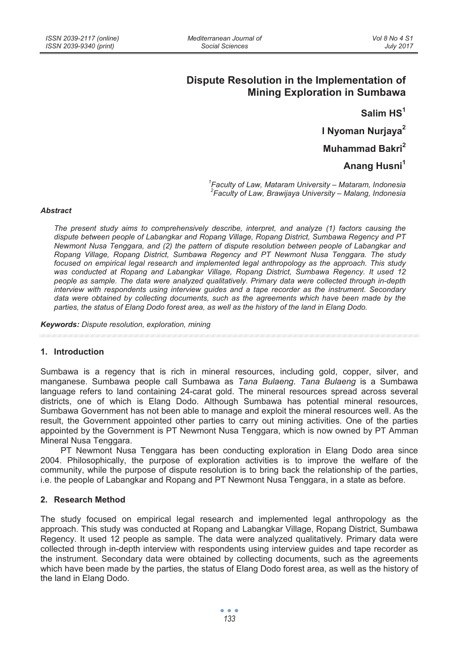# **Dispute Resolution in the Implementation of Mining Exploration in Sumbawa**

**Salim HS1**

**I Nyoman Nurjaya<sup>2</sup>**

**Muhammad Bakri<sup>2</sup>** 

**Anang Husni1**

*1 Faculty of Law, Mataram University – Mataram, Indonesia 2 Faculty of Law, Brawijaya University – Malang, Indonesia* 

### *Abstract*

*The present study aims to comprehensively describe, interpret, and analyze (1) factors causing the dispute between people of Labangkar and Ropang Village, Ropang District, Sumbawa Regency and PT Newmont Nusa Tenggara, and (2) the pattern of dispute resolution between people of Labangkar and Ropang Village, Ropang District, Sumbawa Regency and PT Newmont Nusa Tenggara. The study focused on empirical legal research and implemented legal anthropology as the approach. This study was conducted at Ropang and Labangkar Village, Ropang District, Sumbawa Regency. It used 12 people as sample. The data were analyzed qualitatively. Primary data were collected through in-depth interview with respondents using interview guides and a tape recorder as the instrument. Secondary data were obtained by collecting documents, such as the agreements which have been made by the parties, the status of Elang Dodo forest area, as well as the history of the land in Elang Dodo.* 

*Keywords: Dispute resolution, exploration, mining* 

### **1. Introduction**

Sumbawa is a regency that is rich in mineral resources, including gold, copper, silver, and manganese. Sumbawa people call Sumbawa as *Tana Bulaeng*. *Tana Bulaeng* is a Sumbawa language refers to land containing 24-carat gold. The mineral resources spread across several districts, one of which is Elang Dodo. Although Sumbawa has potential mineral resources, Sumbawa Government has not been able to manage and exploit the mineral resources well. As the result, the Government appointed other parties to carry out mining activities. One of the parties appointed by the Government is PT Newmont Nusa Tenggara, which is now owned by PT Amman Mineral Nusa Tenggara.

PT Newmont Nusa Tenggara has been conducting exploration in Elang Dodo area since 2004. Philosophically, the purpose of exploration activities is to improve the welfare of the community, while the purpose of dispute resolution is to bring back the relationship of the parties, i.e. the people of Labangkar and Ropang and PT Newmont Nusa Tenggara, in a state as before.

# **2. Research Method**

The study focused on empirical legal research and implemented legal anthropology as the approach. This study was conducted at Ropang and Labangkar Village, Ropang District, Sumbawa Regency. It used 12 people as sample. The data were analyzed qualitatively. Primary data were collected through in-depth interview with respondents using interview guides and tape recorder as the instrument. Secondary data were obtained by collecting documents, such as the agreements which have been made by the parties, the status of Elang Dodo forest area, as well as the history of the land in Elang Dodo.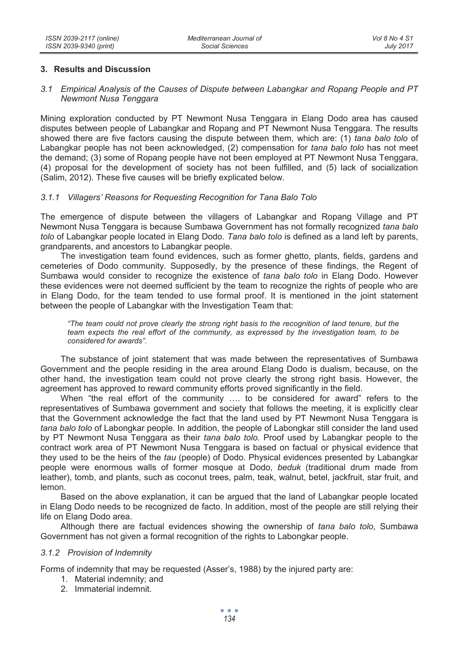# **3. Results and Discussion**

### *3.1 Empirical Analysis of the Causes of Dispute between Labangkar and Ropang People and PT Newmont Nusa Tenggara*

Mining exploration conducted by PT Newmont Nusa Tenggara in Elang Dodo area has caused disputes between people of Labangkar and Ropang and PT Newmont Nusa Tenggara. The results showed there are five factors causing the dispute between them, which are: (1) *tana balo tolo* of Labangkar people has not been acknowledged, (2) compensation for *tana balo tolo* has not meet the demand; (3) some of Ropang people have not been employed at PT Newmont Nusa Tenggara, (4) proposal for the development of society has not been fulfilled, and (5) lack of socialization (Salim, 2012). These five causes will be briefly explicated below.

# *3.1.1 Villagers' Reasons for Requesting Recognition for Tana Balo Tolo*

The emergence of dispute between the villagers of Labangkar and Ropang Village and PT Newmont Nusa Tenggara is because Sumbawa Government has not formally recognized *tana balo tolo* of Labangkar people located in Elang Dodo. *Tana balo tolo* is defined as a land left by parents, grandparents, and ancestors to Labangkar people.

The investigation team found evidences, such as former ghetto, plants, fields, gardens and cemeteries of Dodo community. Supposedly, by the presence of these findings, the Regent of Sumbawa would consider to recognize the existence of *tana balo tolo* in Elang Dodo. However these evidences were not deemed sufficient by the team to recognize the rights of people who are in Elang Dodo, for the team tended to use formal proof. It is mentioned in the joint statement between the people of Labangkar with the Investigation Team that:

*"The team could not prove clearly the strong right basis to the recognition of land tenure, but the team expects the real effort of the community, as expressed by the investigation team, to be considered for awards".* 

The substance of joint statement that was made between the representatives of Sumbawa Government and the people residing in the area around Elang Dodo is dualism, because, on the other hand, the investigation team could not prove clearly the strong right basis. However, the agreement has approved to reward community efforts proved significantly in the field.

When "the real effort of the community …. to be considered for award" refers to the representatives of Sumbawa government and society that follows the meeting, it is explicitly clear that the Government acknowledge the fact that the land used by PT Newmont Nusa Tenggara is *tana balo tolo* of Labongkar people. In addition, the people of Labongkar still consider the land used by PT Newmont Nusa Tenggara as their *tana balo tolo*. Proof used by Labangkar people to the contract work area of PT Newmont Nusa Tenggara is based on factual or physical evidence that they used to be the heirs of the *tau* (people) of Dodo. Physical evidences presented by Labangkar people were enormous walls of former mosque at Dodo, *beduk* (traditional drum made from leather), tomb, and plants, such as coconut trees, palm, teak, walnut, betel, jackfruit, star fruit, and lemon.

Based on the above explanation, it can be argued that the land of Labangkar people located in Elang Dodo needs to be recognized de facto. In addition, most of the people are still relying their life on Elang Dodo area.

Although there are factual evidences showing the ownership of *tana balo tolo*, Sumbawa Government has not given a formal recognition of the rights to Labongkar people.

### *3.1.2 Provision of Indemnity*

Forms of indemnity that may be requested (Asser's, 1988) by the injured party are:

- 1. Material indemnity; and
- 2. Immaterial indemnit.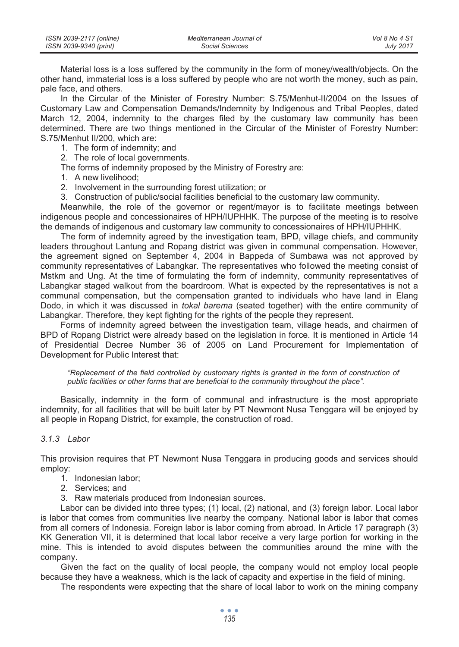| ISSN 2039-2117 (online) | Mediterranean Journal of | Vol 8 No 4 S1    |
|-------------------------|--------------------------|------------------|
| ISSN 2039-9340 (print)  | Social Sciences          | <b>July 2017</b> |

Material loss is a loss suffered by the community in the form of money/wealth/objects. On the other hand, immaterial loss is a loss suffered by people who are not worth the money, such as pain, pale face, and others.

In the Circular of the Minister of Forestry Number: S.75/Menhut-II/2004 on the Issues of Customary Law and Compensation Demands/Indemnity by Indigenous and Tribal Peoples, dated March 12, 2004, indemnity to the charges filed by the customary law community has been determined. There are two things mentioned in the Circular of the Minister of Forestry Number: S.75/Menhut II/200, which are:

- 1. The form of indemnity; and
- 2. The role of local governments.

The forms of indemnity proposed by the Ministry of Forestry are:

- 1. A new livelihood;
- 2. Involvement in the surrounding forest utilization; or
- 3. Construction of public/social facilities beneficial to the customary law community.

Meanwhile, the role of the governor or regent/mayor is to facilitate meetings between indigenous people and concessionaires of HPH/IUPHHK. The purpose of the meeting is to resolve the demands of indigenous and customary law community to concessionaires of HPH/IUPHHK.

The form of indemnity agreed by the investigation team, BPD, village chiefs, and community leaders throughout Lantung and Ropang district was given in communal compensation. However, the agreement signed on September 4, 2004 in Bappeda of Sumbawa was not approved by community representatives of Labangkar. The representatives who followed the meeting consist of Mstkm and Ung. At the time of formulating the form of indemnity, community representatives of Labangkar staged walkout from the boardroom. What is expected by the representatives is not a communal compensation, but the compensation granted to individuals who have land in Elang Dodo, in which it was discussed in *tokal barema* (seated together) with the entire community of Labangkar. Therefore, they kept fighting for the rights of the people they represent.

Forms of indemnity agreed between the investigation team, village heads, and chairmen of BPD of Ropang District were already based on the legislation in force. It is mentioned in Article 14 of Presidential Decree Number 36 of 2005 on Land Procurement for Implementation of Development for Public Interest that:

"Replacement of the field controlled by customary rights is granted in the form of construction of *public facilities or other forms that are beneficial to the community throughout the place".* 

Basically, indemnity in the form of communal and infrastructure is the most appropriate indemnity, for all facilities that will be built later by PT Newmont Nusa Tenggara will be enjoyed by all people in Ropang District, for example, the construction of road.

# *3.1.3 Labor*

This provision requires that PT Newmont Nusa Tenggara in producing goods and services should employ:

- 1. Indonesian labor;
- 2. Services; and
- 3. Raw materials produced from Indonesian sources.

Labor can be divided into three types; (1) local, (2) national, and (3) foreign labor. Local labor is labor that comes from communities live nearby the company. National labor is labor that comes from all corners of Indonesia. Foreign labor is labor coming from abroad. In Article 17 paragraph (3) KK Generation VII, it is determined that local labor receive a very large portion for working in the mine. This is intended to avoid disputes between the communities around the mine with the company.

Given the fact on the quality of local people, the company would not employ local people because they have a weakness, which is the lack of capacity and expertise in the field of mining.

The respondents were expecting that the share of local labor to work on the mining company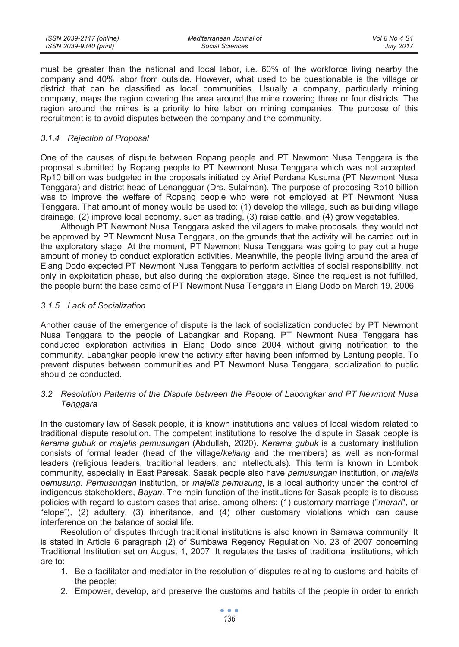| ISSN 2039-2117 (online) | Mediterranean Journal of | Vol 8 No 4 S1    |
|-------------------------|--------------------------|------------------|
| ISSN 2039-9340 (print)  | Social Sciences          | <b>July 2017</b> |

must be greater than the national and local labor, i.e. 60% of the workforce living nearby the company and 40% labor from outside. However, what used to be questionable is the village or district that can be classified as local communities. Usually a company, particularly mining company, maps the region covering the area around the mine covering three or four districts. The region around the mines is a priority to hire labor on mining companies. The purpose of this recruitment is to avoid disputes between the company and the community.

### *3.1.4 Rejection of Proposal*

One of the causes of dispute between Ropang people and PT Newmont Nusa Tenggara is the proposal submitted by Ropang people to PT Newmont Nusa Tenggara which was not accepted. Rp10 billion was budgeted in the proposals initiated by Arief Perdana Kusuma (PT Newmont Nusa Tenggara) and district head of Lenangguar (Drs. Sulaiman). The purpose of proposing Rp10 billion was to improve the welfare of Ropang people who were not employed at PT Newmont Nusa Tenggara. That amount of money would be used to: (1) develop the village, such as building village drainage, (2) improve local economy, such as trading, (3) raise cattle, and (4) grow vegetables.

Although PT Newmont Nusa Tenggara asked the villagers to make proposals, they would not be approved by PT Newmont Nusa Tenggara, on the grounds that the activity will be carried out in the exploratory stage. At the moment, PT Newmont Nusa Tenggara was going to pay out a huge amount of money to conduct exploration activities. Meanwhile, the people living around the area of Elang Dodo expected PT Newmont Nusa Tenggara to perform activities of social responsibility, not only in exploitation phase, but also during the exploration stage. Since the request is not fulfilled, the people burnt the base camp of PT Newmont Nusa Tenggara in Elang Dodo on March 19, 2006.

### *3.1.5 Lack of Socialization*

Another cause of the emergence of dispute is the lack of socialization conducted by PT Newmont Nusa Tenggara to the people of Labangkar and Ropang. PT Newmont Nusa Tenggara has conducted exploration activities in Elang Dodo since 2004 without giving notification to the community. Labangkar people knew the activity after having been informed by Lantung people. To prevent disputes between communities and PT Newmont Nusa Tenggara, socialization to public should be conducted.

# *3.2 Resolution Patterns of the Dispute between the People of Labongkar and PT Newmont Nusa Tenggara*

In the customary law of Sasak people, it is known institutions and values of local wisdom related to traditional dispute resolution. The competent institutions to resolve the dispute in Sasak people is *kerama gubuk* or *majelis pemusungan* (Abdullah, 2020). *Kerama gubuk* is a customary institution consists of formal leader (head of the village/*keliang* and the members) as well as non-formal leaders (religious leaders, traditional leaders, and intellectuals). This term is known in Lombok community, especially in East Paresak. Sasak people also have *pemusungan* institution, or *majelis pemusung*. *Pemusungan* institution, or *majelis pemusung*, is a local authority under the control of indigenous stakeholders, *Bayan*. The main function of the institutions for Sasak people is to discuss policies with regard to custom cases that arise, among others: (1) customary marriage ("*merari*", or "elope"), (2) adultery, (3) inheritance, and (4) other customary violations which can cause interference on the balance of social life.

Resolution of disputes through traditional institutions is also known in Samawa community. It is stated in Article 6 paragraph (2) of Sumbawa Regency Regulation No. 23 of 2007 concerning Traditional Institution set on August 1, 2007. It regulates the tasks of traditional institutions, which are to:

- 1. Be a facilitator and mediator in the resolution of disputes relating to customs and habits of the people;
- 2. Empower, develop, and preserve the customs and habits of the people in order to enrich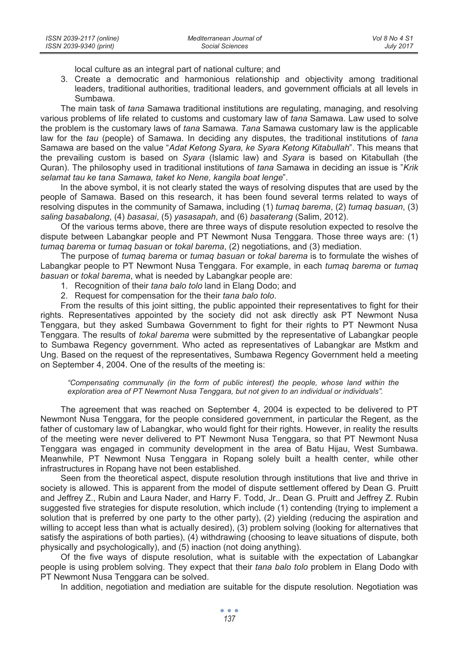local culture as an integral part of national culture; and

3. Create a democratic and harmonious relationship and objectivity among traditional leaders, traditional authorities, traditional leaders, and government officials at all levels in Sumbawa.

The main task of *tana* Samawa traditional institutions are regulating, managing, and resolving various problems of life related to customs and customary law of *tana* Samawa. Law used to solve the problem is the customary laws of *tana* Samawa. *Tana* Samawa customary law is the applicable law for the *tau* (people) of Samawa. In deciding any disputes, the traditional institutions of *tana* Samawa are based on the value "*Adat Ketong Syara, ke Syara Ketong Kitabullah*". This means that the prevailing custom is based on *Syara* (Islamic law) and *Syara* is based on Kitabullah (the Quran). The philosophy used in traditional institutions of *tana* Samawa in deciding an issue is "*Krik selamat tau ke tana Samawa, taket ko Nene, kangila boat lenge*".

In the above symbol, it is not clearly stated the ways of resolving disputes that are used by the people of Samawa. Based on this research, it has been found several terms related to ways of resolving disputes in the community of Samawa, including (1) *tumaq barema*, (2) *tumaq basuan*, (3) *saling basabalong*, (4) *basasai*, (5) *yasasapah*, and (6) *basaterang* (Salim, 2012).

Of the various terms above, there are three ways of dispute resolution expected to resolve the dispute between Labangkar people and PT Newmont Nusa Tenggara. Those three ways are: (1) *tumaq barema* or *tumaq basuan* or *tokal barema*, (2) negotiations, and (3) mediation.

The purpose of *tumaq barema* or *tumaq basuan* or *tokal barema* is to formulate the wishes of Labangkar people to PT Newmont Nusa Tenggara. For example, in each *tumaq barema* or *tumaq basuan* or *tokal barema*, what is needed by Labangkar people are:

- 1. Recognition of their *tana balo tolo* land in Elang Dodo; and
- 2. Request for compensation for the their *tana balo tolo*.

From the results of this joint sitting, the public appointed their representatives to fight for their rights. Representatives appointed by the society did not ask directly ask PT Newmont Nusa Tenggara, but they asked Sumbawa Government to fight for their rights to PT Newmont Nusa Tenggara. The results of *tokal barema* were submitted by the representative of Labangkar people to Sumbawa Regency government. Who acted as representatives of Labangkar are Mstkm and Ung. Based on the request of the representatives, Sumbawa Regency Government held a meeting on September 4, 2004. One of the results of the meeting is:

*"Compensating communally (in the form of public interest) the people, whose land within the exploration area of PT Newmont Nusa Tenggara, but not given to an individual or individuals".* 

The agreement that was reached on September 4, 2004 is expected to be delivered to PT Newmont Nusa Tenggara, for the people considered government, in particular the Regent, as the father of customary law of Labangkar, who would fight for their rights. However, in reality the results of the meeting were never delivered to PT Newmont Nusa Tenggara, so that PT Newmont Nusa Tenggara was engaged in community development in the area of Batu Hijau, West Sumbawa. Meanwhile, PT Newmont Nusa Tenggara in Ropang solely built a health center, while other infrastructures in Ropang have not been established.

Seen from the theoretical aspect, dispute resolution through institutions that live and thrive in society is allowed. This is apparent from the model of dispute settlement offered by Dean G. Pruitt and Jeffrey Z., Rubin and Laura Nader, and Harry F. Todd, Jr.. Dean G. Pruitt and Jeffrey Z. Rubin suggested five strategies for dispute resolution, which include (1) contending (trying to implement a solution that is preferred by one party to the other party), (2) yielding (reducing the aspiration and willing to accept less than what is actually desired), (3) problem solving (looking for alternatives that satisfy the aspirations of both parties), (4) withdrawing (choosing to leave situations of dispute, both physically and psychologically), and (5) inaction (not doing anything).

Of the five ways of dispute resolution, what is suitable with the expectation of Labangkar people is using problem solving. They expect that their *tana balo tolo* problem in Elang Dodo with PT Newmont Nusa Tenggara can be solved.

In addition, negotiation and mediation are suitable for the dispute resolution. Negotiation was